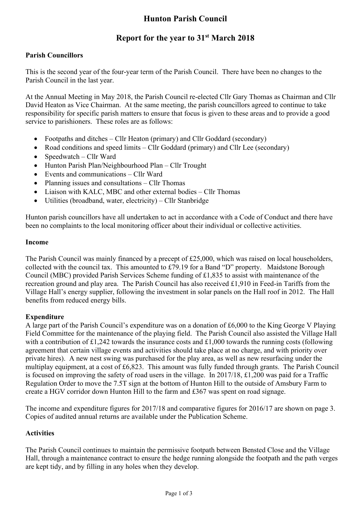# **Hunton Parish Council**

## **Report for the year to 31st March 2018**

### **Parish Councillors**

This is the second year of the four-year term of the Parish Council. There have been no changes to the Parish Council in the last year.

At the Annual Meeting in May 2018, the Parish Council re-elected Cllr Gary Thomas as Chairman and Cllr David Heaton as Vice Chairman. At the same meeting, the parish councillors agreed to continue to take responsibility for specific parish matters to ensure that focus is given to these areas and to provide a good service to parishioners. These roles are as follows:

- Footpaths and ditches Cllr Heaton (primary) and Cllr Goddard (secondary)
- Road conditions and speed limits Cllr Goddard (primary) and Cllr Lee (secondary)
- $\bullet$  Speedwatch Cllr Ward
- Hunton Parish Plan/Neighbourhood Plan Cllr Trought
- Events and communications Cllr Ward
- Planning issues and consultations Cllr Thomas
- Liaison with KALC, MBC and other external bodies Cllr Thomas
- Utilities (broadband, water, electricity) Cllr Stanbridge

Hunton parish councillors have all undertaken to act in accordance with a Code of Conduct and there have been no complaints to the local monitoring officer about their individual or collective activities.

#### **Income**

The Parish Council was mainly financed by a precept of £25,000, which was raised on local householders, collected with the council tax. This amounted to £79.19 for a Band "D" property. Maidstone Borough Council (MBC) provided Parish Services Scheme funding of £1,835 to assist with maintenance of the recreation ground and play area. The Parish Council has also received £1,910 in Feed-in Tariffs from the Village Hall's energy supplier, following the investment in solar panels on the Hall roof in 2012. The Hall benefits from reduced energy bills.

#### **Expenditure**

A large part of the Parish Council's expenditure was on a donation of £6,000 to the King George V Playing Field Committee for the maintenance of the playing field. The Parish Council also assisted the Village Hall with a contribution of £1,242 towards the insurance costs and £1,000 towards the running costs (following agreement that certain village events and activities should take place at no charge, and with priority over private hires). A new nest swing was purchased for the play area, as well as new resurfacing under the multiplay equipment, at a cost of £6,823. This amount was fully funded through grants. The Parish Council is focused on improving the safety of road users in the village. In 2017/18, £1,200 was paid for a Traffic Regulation Order to move the 7.5T sign at the bottom of Hunton Hill to the outside of Amsbury Farm to create a HGV corridor down Hunton Hill to the farm and £367 was spent on road signage.

The income and expenditure figures for 2017/18 and comparative figures for 2016/17 are shown on page 3. Copies of audited annual returns are available under the Publication Scheme.

#### **Activities**

The Parish Council continues to maintain the permissive footpath between Bensted Close and the Village Hall, through a maintenance contract to ensure the hedge running alongside the footpath and the path verges are kept tidy, and by filling in any holes when they develop.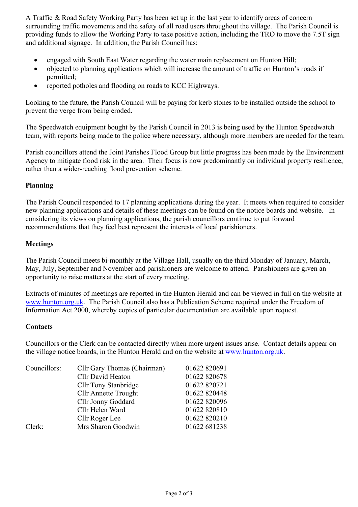A Traffic & Road Safety Working Party has been set up in the last year to identify areas of concern surrounding traffic movements and the safety of all road users throughout the village. The Parish Council is providing funds to allow the Working Party to take positive action, including the TRO to move the 7.5T sign and additional signage. In addition, the Parish Council has:

- engaged with South East Water regarding the water main replacement on Hunton Hill;
- objected to planning applications which will increase the amount of traffic on Hunton's roads if permitted;
- reported potholes and flooding on roads to KCC Highways.

Looking to the future, the Parish Council will be paying for kerb stones to be installed outside the school to prevent the verge from being eroded.

The Speedwatch equipment bought by the Parish Council in 2013 is being used by the Hunton Speedwatch team, with reports being made to the police where necessary, although more members are needed for the team.

Parish councillors attend the Joint Parishes Flood Group but little progress has been made by the Environment Agency to mitigate flood risk in the area. Their focus is now predominantly on individual property resilience, rather than a wider-reaching flood prevention scheme.

#### **Planning**

The Parish Council responded to 17 planning applications during the year. It meets when required to consider new planning applications and details of these meetings can be found on the notice boards and website. In considering its views on planning applications, the parish councillors continue to put forward recommendations that they feel best represent the interests of local parishioners.

#### **Meetings**

The Parish Council meets bi-monthly at the Village Hall, usually on the third Monday of January, March, May, July, September and November and parishioners are welcome to attend. Parishioners are given an opportunity to raise matters at the start of every meeting.

Extracts of minutes of meetings are reported in the Hunton Herald and can be viewed in full on the website at www.hunton.org.uk. The Parish Council also has a Publication Scheme required under the Freedom of Information Act 2000, whereby copies of particular documentation are available upon request.

#### **Contacts**

Councillors or the Clerk can be contacted directly when more urgent issues arise. Contact details appear on the village notice boards, in the Hunton Herald and on the website at www.hunton.org.uk.

| Councillors: | Cllr Gary Thomas (Chairman) | 01622 820691 |
|--------------|-----------------------------|--------------|
|              | Cllr David Heaton           | 01622 820678 |
|              | <b>Cllr Tony Stanbridge</b> | 01622 820721 |
|              | <b>Cllr Annette Trought</b> | 01622 820448 |
|              | Cllr Jonny Goddard          | 01622 820096 |
|              | Cllr Helen Ward             | 01622 820810 |
|              | Cllr Roger Lee              | 01622 820210 |
| Clerk:       | Mrs Sharon Goodwin          | 01622 681238 |